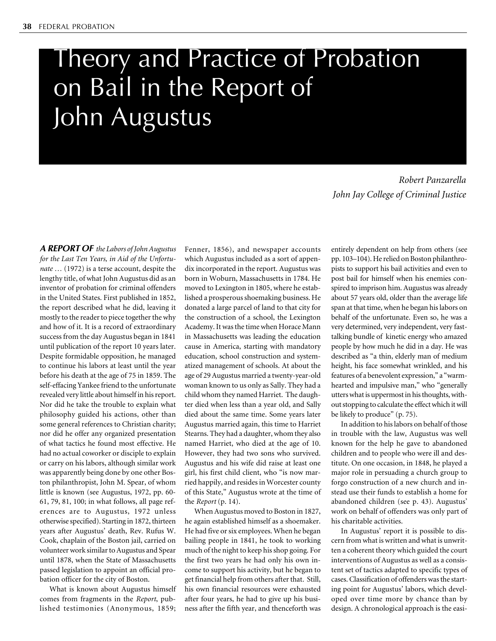# Theory and Practice of Probation on Bail in the Report of John Augustus

*Robert Panzarella John Jay College of Criminal Justice*

**A REPORT OF** *the Labors of John Augustus for the Last Ten Years, in Aid of the Unfortunate …* (1972) is a terse account, despite the lengthy title, of what John Augustus did as an inventor of probation for criminal offenders in the United States. First published in 1852, the report described what he did, leaving it mostly to the reader to piece together the why and how of it. It is a record of extraordinary success from the day Augustus began in 1841 until publication of the report 10 years later. Despite formidable opposition, he managed to continue his labors at least until the year before his death at the age of 75 in 1859. The self-effacing Yankee friend to the unfortunate revealed very little about himself in his report. Nor did he take the trouble to explain what philosophy guided his actions, other than some general references to Christian charity; nor did he offer any organized presentation of what tactics he found most effective. He had no actual coworker or disciple to explain or carry on his labors, although similar work was apparently being done by one other Boston philanthropist, John M. Spear, of whom little is known (see Augustus, 1972, pp. 60- 61, 79, 81, 100; in what follows, all page references are to Augustus, 1972 unless otherwise specified). Starting in 1872, thirteen years after Augustus' death, Rev. Rufus W. Cook, chaplain of the Boston jail, carried on volunteer work similar to Augustus and Spear until 1878, when the State of Massachusetts passed legislation to appoint an official probation officer for the city of Boston.

What is known about Augustus himself comes from fragments in the *Report*, published testimonies (Anonymous, 1859; Fenner, 1856), and newspaper accounts which Augustus included as a sort of appendix incorporated in the report. Augustus was born in Woburn, Massachusetts in 1784. He moved to Lexington in 1805, where he established a prosperous shoemaking business. He donated a large parcel of land to that city for the construction of a school, the Lexington Academy. It was the time when Horace Mann in Massachusetts was leading the education cause in America, starting with mandatory education, school construction and systematized management of schools. At about the age of 29 Augustus married a twenty-year-old woman known to us only as Sally. They had a child whom they named Harriet. The daughter died when less than a year old, and Sally died about the same time. Some years later Augustus married again, this time to Harriet Stearns. They had a daughter, whom they also named Harriet, who died at the age of 10. However, they had two sons who survived. Augustus and his wife did raise at least one girl, his first child client, who "is now married happily, and resides in Worcester county of this State," Augustus wrote at the time of the *Report* (p. 14).

When Augustus moved to Boston in 1827, he again established himself as a shoemaker. He had five or six employees. When he began bailing people in 1841, he took to working much of the night to keep his shop going. For the first two years he had only his own income to support his activity, but he began to get financial help from others after that. Still, his own financial resources were exhausted after four years, he had to give up his business after the fifth year, and thenceforth was

entirely dependent on help from others (see pp. 103–104). He relied on Boston philanthropists to support his bail activities and even to post bail for himself when his enemies conspired to imprison him. Augustus was already about 57 years old, older than the average life span at that time, when he began his labors on behalf of the unfortunate. Even so, he was a very determined, very independent, very fasttalking bundle of kinetic energy who amazed people by how much he did in a day. He was described as "a thin, elderly man of medium height, his face somewhat wrinkled, and his features of a benevolent expression," a "warmhearted and impulsive man," who "generally utters what is uppermost in his thoughts, without stopping to calculate the effect which it will be likely to produce" (p. 75).

In addition to his labors on behalf of those in trouble with the law, Augustus was well known for the help he gave to abandoned children and to people who were ill and destitute. On one occasion, in 1848, he played a major role in persuading a church group to forgo construction of a new church and instead use their funds to establish a home for abandoned children (see p. 43). Augustus' work on behalf of offenders was only part of his charitable activities.

In Augustus' report it is possible to discern from what is written and what is unwritten a coherent theory which guided the court interventions of Augustus as well as a consistent set of tactics adapted to specific types of cases. Classification of offenders was the starting point for Augustus' labors, which developed over time more by chance than by design. A chronological approach is the easi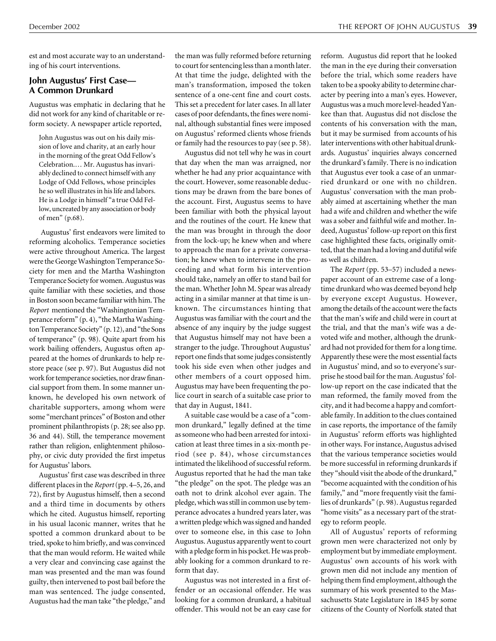est and most accurate way to an understanding of his court interventions.

#### **John Augustus' First Case— A Common Drunkard**

Augustus was emphatic in declaring that he did not work for any kind of charitable or reform society. A newspaper article reported,

John Augustus was out on his daily mission of love and charity, at an early hour in the morning of the great Odd Fellow's Celebration.… Mr. Augustus has invariably declined to connect himself with any Lodge of Odd Fellows, whose principles he so well illustrates in his life and labors. He is a Lodge in himself "a true Odd Fellow, uncreated by any association or body of men" (p.68).

Augustus' first endeavors were limited to reforming alcoholics. Temperance societies were active throughout America. The largest were the George Washington Temperance Society for men and the Martha Washington Temperance Society for women. Augustus was quite familiar with these societies, and those in Boston soon became familiar with him. The *Report* mentioned the "Washingtonian Temperance reform" (p. 4), "the Martha Washington Temperance Society" (p. 12), and "the Sons of temperance" (p. 98). Quite apart from his work bailing offenders, Augustus often appeared at the homes of drunkards to help restore peace (see p. 97). But Augustus did not work for temperance societies, nor draw financial support from them. In some manner unknown, he developed his own network of charitable supporters, among whom were some "merchant princes" of Boston and other prominent philanthropists (p. 28; see also pp. 36 and 44). Still, the temperance movement rather than religion, enlightenment philosophy, or civic duty provided the first impetus for Augustus' labors.

Augustus' first case was described in three different places in the *Report*(pp. 4–5, 26, and 72), first by Augustus himself, then a second and a third time in documents by others which he cited. Augustus himself, reporting in his usual laconic manner, writes that he spotted a common drunkard about to be tried, spoke to him briefly, and was convinced that the man would reform. He waited while a very clear and convincing case against the man was presented and the man was found guilty, then intervened to post bail before the man was sentenced. The judge consented, Augustus had the man take "the pledge," and

the man was fully reformed before returning to court for sentencing less than a month later. At that time the judge, delighted with the man's transformation, imposed the token sentence of a one-cent fine and court costs. This set a precedent for later cases. In all later cases of poor defendants, the fines were nominal, although substantial fines were imposed on Augustus' reformed clients whose friends or family had the resources to pay (see p. 58).

Augustus did not tell why he was in court that day when the man was arraigned, nor whether he had any prior acquaintance with the court. However, some reasonable deductions may be drawn from the bare bones of the account. First, Augustus seems to have been familiar with both the physical layout and the routines of the court. He knew that the man was brought in through the door from the lock-up; he knew when and where to approach the man for a private conversation; he knew when to intervene in the proceeding and what form his intervention should take, namely an offer to stand bail for the man. Whether John M. Spear was already acting in a similar manner at that time is unknown. The circumstances hinting that Augustus was familiar with the court and the absence of any inquiry by the judge suggest that Augustus himself may not have been a stranger to the judge. Throughout Augustus' report one finds that some judges consistently took his side even when other judges and other members of a court opposed him. Augustus may have been frequenting the police court in search of a suitable case prior to that day in August, 1841.

A suitable case would be a case of a "common drunkard," legally defined at the time as someone who had been arrested for intoxication at least three times in a six-month period (see p. 84), whose circumstances intimated the likelihood of successful reform. Augustus reported that he had the man take "the pledge" on the spot. The pledge was an oath not to drink alcohol ever again. The pledge, which was still in common use by temperance advocates a hundred years later, was a written pledge which was signed and handed over to someone else, in this case to John Augustus. Augustus apparently went to court with a pledge form in his pocket. He was probably looking for a common drunkard to reform that day.

Augustus was not interested in a first offender or an occasional offender. He was looking for a common drunkard, a habitual offender. This would not be an easy case for reform. Augustus did report that he looked the man in the eye during their conversation before the trial, which some readers have taken to be a spooky ability to determine character by peering into a man's eyes. However, Augustus was a much more level-headed Yankee than that. Augustus did not disclose the contents of his conversation with the man, but it may be surmised from accounts of his later interventions with other habitual drunkards. Augustus' inquiries always concerned the drunkard's family. There is no indication that Augustus ever took a case of an unmarried drunkard or one with no children. Augustus' conversation with the man probably aimed at ascertaining whether the man had a wife and children and whether the wife was a sober and faithful wife and mother. Indeed, Augustus' follow-up report on this first case highlighted these facts, originally omitted, that the man had a loving and dutiful wife as well as children.

The *Report* (pp. 53–57) included a newspaper account of an extreme case of a longtime drunkard who was deemed beyond help by everyone except Augustus. However, among the details of the account were the facts that the man's wife and child were in court at the trial, and that the man's wife was a devoted wife and mother, although the drunkard had not provided for them for a long time. Apparently these were the most essential facts in Augustus' mind, and so to everyone's surprise he stood bail for the man. Augustus' follow-up report on the case indicated that the man reformed, the family moved from the city, and it had become a happy and comfortable family. In addition to the clues contained in case reports, the importance of the family in Augustus' reform efforts was highlighted in other ways. For instance, Augustus advised that the various temperance societies would be more successful in reforming drunkards if they "should visit the abode of the drunkard," "become acquainted with the condition of his family," and "more frequently visit the families of drunkards" (p. 98). Augustus regarded "home visits" as a necessary part of the strategy to reform people.

All of Augustus' reports of reforming grown men were characterized not only by employment but by immediate employment. Augustus' own accounts of his work with grown men did not include any mention of helping them find employment, although the summary of his work presented to the Massachusetts State Legislature in 1845 by some citizens of the County of Norfolk stated that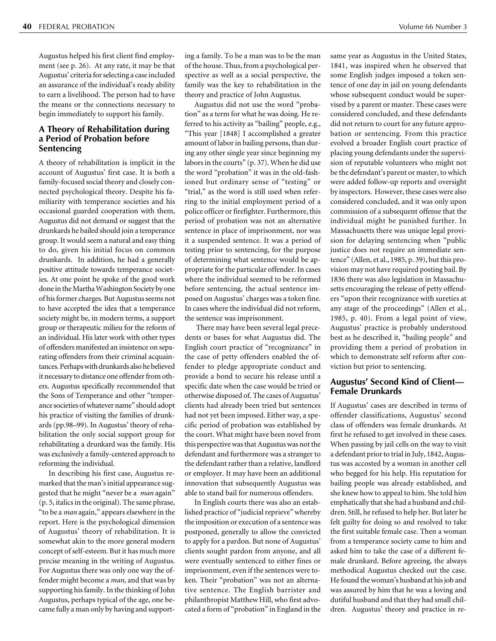Augustus helped his first client find employment (see p. 26). At any rate, it may be that Augustus' criteria for selecting a case included an assurance of the individual's ready ability to earn a livelihood. The person had to have the means or the connections necessary to begin immediately to support his family.

# **A Theory of Rehabilitation during a Period of Probation before Sentencing**

A theory of rehabilitation is implicit in the account of Augustus' first case. It is both a family-focused social theory and closely connected psychological theory. Despite his familiarity with temperance societies and his occasional guarded cooperation with them, Augustus did not demand or suggest that the drunkards he bailed should join a temperance group. It would seem a natural and easy thing to do, given his initial focus on common drunkards. In addition, he had a generally positive attitude towards temperance societies. At one point he spoke of the good work done in the Martha Washington Society by one of his former charges. But Augustus seems not to have accepted the idea that a temperance society might be, in modern terms, a support group or therapeutic milieu for the reform of an individual. His later work with other types of offenders manifested an insistence on separating offenders from their criminal acquaintances. Perhaps with drunkards also he believed it necessary to distance one offender from others. Augustus specifically recommended that the Sons of Temperance and other "temperance societies of whatever name" should adopt his practice of visiting the families of drunkards (pp.98–99). In Augustus' theory of rehabilitation the only social support group for rehabilitating a drunkard was the family. His was exclusively a family-centered approach to reforming the individual.

In describing his first case, Augustus remarked that the man's initial appearance suggested that he might "never be a *man* again" (p. 5, italics in the original). The same phrase, "to be a *man* again," appears elsewhere in the report. Here is the psychological dimension of Augustus' theory of rehabilitation. It is somewhat akin to the more general modern concept of self-esteem. But it has much more precise meaning in the writing of Augustus. For Augustus there was only one way the offender might become a *man*, and that was by supporting his family. In the thinking of John Augustus, perhaps typical of the age, one became fully a man only by having and support-

ing a family. To be a man was to be the man of the house. Thus, from a psychological perspective as well as a social perspective, the family was the key to rehabilitation in the theory and practice of John Augustus.

Augustus did not use the word "probation" as a term for what he was doing. He referred to his activity as "bailing" people, e.g., "This year [1848] I accomplished a greater amount of labor in bailing persons, than during any other single year since beginning my labors in the courts" (p. 37). When he did use the word "probation" it was in the old-fashioned but ordinary sense of "testing" or "trial," as the word is still used when referring to the initial employment period of a police officer or firefighter. Furthermore, this period of probation was not an alternative sentence in place of imprisonment, nor was it a suspended sentence. It was a period of testing prior to sentencing, for the purpose of determining what sentence would be appropriate for the particular offender. In cases where the individual seemed to be reformed before sentencing, the actual sentence imposed on Augustus' charges was a token fine. In cases where the individual did not reform, the sentence was imprisonment.

 There may have been several legal precedents or bases for what Augustus did. The English court practice of "recognizance" in the case of petty offenders enabled the offender to pledge appropriate conduct and provide a bond to secure his release until a specific date when the case would be tried or otherwise disposed of. The cases of Augustus' clients had already been tried but sentences had not yet been imposed. Either way, a specific period of probation was established by the court. What might have been novel from this perspective was that Augustus was not the defendant and furthermore was a stranger to the defendant rather than a relative, landlord or employer. It may have been an additional innovation that subsequently Augustus was able to stand bail for numerous offenders.

In English courts there was also an established practice of "judicial reprieve" whereby the imposition or execution of a sentence was postponed, generally to allow the convicted to apply for a pardon. But none of Augustus' clients sought pardon from anyone, and all were eventually sentenced to either fines or imprisonment, even if the sentences were token. Their "probation" was not an alternative sentence. The English barrister and philanthropist Matthew Hill, who first advocated a form of "probation" in England in the

same year as Augustus in the United States, 1841, was inspired when he observed that some English judges imposed a token sentence of one day in jail on young defendants whose subsequent conduct would be supervised by a parent or master. These cases were considered concluded, and these defendants did not return to court for any future approbation or sentencing. From this practice evolved a broader English court practice of placing young defendants under the supervision of reputable volunteers who might not be the defendant's parent or master, to which were added follow-up reports and oversight by inspectors. However, these cases were also considered concluded, and it was only upon commission of a subsequent offense that the individual might be punished further. In Massachusetts there was unique legal provision for delaying sentencing when "public justice does not require an immediate sentence" (Allen, et al., 1985, p. 39), but this provision may not have required posting bail. By 1836 there was also legislation in Massachusetts encouraging the release of petty offenders "upon their recognizance with sureties at any stage of the proceedings" (Allen et al., 1985, p. 40). From a legal point of view, Augustus' practice is probably understood best as he described it, "bailing people" and providing them a period of probation in which to demonstrate self reform after conviction but prior to sentencing.

### **Augustus' Second Kind of Client— Female Drunkards**

If Augustus' cases are described in terms of offender classifications, Augustus' second class of offenders was female drunkards. At first he refused to get involved in these cases. When passing by jail cells on the way to visit a defendant prior to trial in July, 1842, Augustus was accosted by a woman in another cell who begged for his help. His reputation for bailing people was already established, and she knew how to appeal to him. She told him emphatically that she had a husband and children. Still, he refused to help her. But later he felt guilty for doing so and resolved to take the first suitable female case. Then a woman from a temperance society came to him and asked him to take the case of a different female drunkard. Before agreeing, the always methodical Augustus checked out the case. He found the woman's husband at his job and was assured by him that he was a loving and dutiful husband and that they had small children. Augustus' theory and practice in re-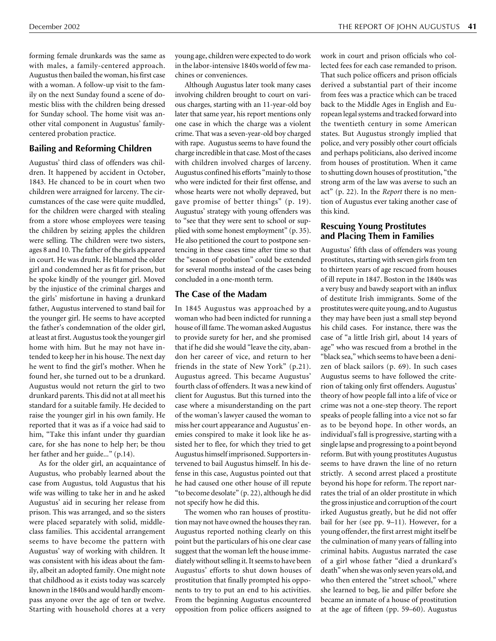forming female drunkards was the same as with males, a family-centered approach. Augustus then bailed the woman, his first case with a woman. A follow-up visit to the family on the next Sunday found a scene of domestic bliss with the children being dressed for Sunday school. The home visit was another vital component in Augustus' familycentered probation practice.

## **Bailing and Reforming Children**

Augustus' third class of offenders was children. It happened by accident in October, 1843. He chanced to be in court when two children were arraigned for larceny. The circumstances of the case were quite muddled, for the children were charged with stealing from a store whose employees were teasing the children by seizing apples the children were selling. The children were two sisters, ages 8 and 10. The father of the girls appeared in court. He was drunk. He blamed the older girl and condemned her as fit for prison, but he spoke kindly of the younger girl. Moved by the injustice of the criminal charges and the girls' misfortune in having a drunkard father, Augustus intervened to stand bail for the younger girl. He seems to have accepted the father's condemnation of the older girl, at least at first. Augustus took the younger girl home with him. But he may not have intended to keep her in his house. The next day he went to find the girl's mother. When he found her, she turned out to be a drunkard. Augustus would not return the girl to two drunkard parents. This did not at all meet his standard for a suitable family. He decided to raise the younger girl in his own family. He reported that it was as if a voice had said to him, "Take this infant under thy guardian care, for she has none to help her; be thou her father and her guide..." (p.14).

As for the older girl, an acquaintance of Augustus, who probably learned about the case from Augustus, told Augustus that his wife was willing to take her in and he asked Augustus' aid in securing her release from prison. This was arranged, and so the sisters were placed separately with solid, middleclass families. This accidental arrangement seems to have become the pattern with Augustus' way of working with children. It was consistent with his ideas about the family, albeit an adopted family. One might note that childhood as it exists today was scarcely known in the 1840s and would hardly encompass anyone over the age of ten or twelve. Starting with household chores at a very young age, children were expected to do work in the labor-intensive 1840s world of few machines or conveniences.

Although Augustus later took many cases involving children brought to court on various charges, starting with an 11-year-old boy later that same year, his report mentions only one case in which the charge was a violent crime. That was a seven-year-old boy charged with rape. Augustus seems to have found the charge incredible in that case. Most of the cases with children involved charges of larceny. Augustus confined his efforts "mainly to those who were indicted for their first offense, and whose hearts were not wholly depraved, but gave promise of better things" (p. 19). Augustus' strategy with young offenders was to "see that they were sent to school or supplied with some honest employment" (p. 35). He also petitioned the court to postpone sentencing in these cases time after time so that the "season of probation" could be extended for several months instead of the cases being concluded in a one-month term.

# **The Case of the Madam**

In 1845 Augustus was approached by a woman who had been indicted for running a house of ill fame. The woman asked Augustus to provide surety for her, and she promised that if he did she would "leave the city, abandon her career of vice, and return to her friends in the state of New York" (p.21). Augustus agreed. This became Augustus' fourth class of offenders. It was a new kind of client for Augustus. But this turned into the case where a misunderstanding on the part of the woman's lawyer caused the woman to miss her court appearance and Augustus' enemies conspired to make it look like he assisted her to flee, for which they tried to get Augustus himself imprisoned. Supporters intervened to bail Augustus himself. In his defense in this case, Augustus pointed out that he had caused one other house of ill repute "to become desolate" (p. 22), although he did not specify how he did this.

The women who ran houses of prostitution may not have owned the houses they ran. Augustus reported nothing clearly on this point but the particulars of his one clear case suggest that the woman left the house immediately without selling it. It seems to have been Augustus' efforts to shut down houses of prostitution that finally prompted his opponents to try to put an end to his activities. From the beginning Augustus encountered opposition from police officers assigned to

work in court and prison officials who collected fees for each case remanded to prison. That such police officers and prison officials derived a substantial part of their income from fees was a practice which can be traced back to the Middle Ages in English and European legal systems and tracked forward into the twentieth century in some American states. But Augustus strongly implied that police, and very possibly other court officials and perhaps politicians, also derived income from houses of prostitution. When it came to shutting down houses of prostitution, "the strong arm of the law was averse to such an act" (p. 22). In the *Report* there is no mention of Augustus ever taking another case of this kind.

#### **Rescuing Young Prostitutes and Placing Them in Families**

Augustus' fifth class of offenders was young prostitutes, starting with seven girls from ten to thirteen years of age rescued from houses of ill repute in 1847. Boston in the 1840s was a very busy and bawdy seaport with an influx of destitute Irish immigrants. Some of the prostitutes were quite young, and to Augustus they may have been just a small step beyond his child cases. For instance, there was the case of "a little Irish girl, about 14 years of age" who was rescued from a brothel in the "black sea," which seems to have been a denizen of black sailors (p. 69). In such cases Augustus seems to have followed the criterion of taking only first offenders. Augustus' theory of how people fall into a life of vice or crime was not a one-step theory. The report speaks of people falling into a vice not so far as to be beyond hope. In other words, an individual's fall is progressive, starting with a single lapse and progressing to a point beyond reform. But with young prostitutes Augustus seems to have drawn the line of no return strictly. A second arrest placed a prostitute beyond his hope for reform. The report narrates the trial of an older prostitute in which the gross injustice and corruption of the court irked Augustus greatly, but he did not offer bail for her (see pp. 9–11). However, for a young offender, the first arrest might itself be the culmination of many years of falling into criminal habits. Augustus narrated the case of a girl whose father "died a drunkard's death" when she was only seven years old, and who then entered the "street school," where she learned to beg, lie and pilfer before she became an inmate of a house of prostitution at the age of fifteen (pp. 59–60). Augustus